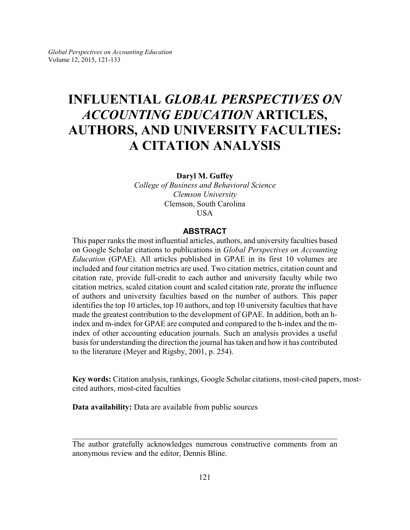# **INFLUENTIAL** *GLOBAL PERSPECTIVES ON ACCOUNTING EDUCATION* **ARTICLES, AUTHORS, AND UNIVERSITY FACULTIES: A CITATION ANALYSIS**

**Daryl M. Guffey**

*College of Business and Behavioral Science Clemson University* Clemson, South Carolina USA

#### **ABSTRACT**

This paper ranks the most influential articles, authors, and university faculties based on Google Scholar citations to publications in *Global Perspectives on Accounting Education* (GPAE). All articles published in GPAE in its first 10 volumes are included and four citation metrics are used. Two citation metrics, citation count and citation rate, provide full-credit to each author and university faculty while two citation metrics, scaled citation count and scaled citation rate, prorate the influence of authors and university faculties based on the number of authors. This paper identifies the top 10 articles, top 10 authors, and top 10 university faculties that have made the greatest contribution to the development of GPAE. In addition, both an hindex and m-index for GPAE are computed and compared to the h-index and the mindex of other accounting education journals. Such an analysis provides a useful basis for understanding the direction the journal has taken and how it has contributed to the literature (Meyer and Rigsby, 2001, p. 254).

**Key words:** Citation analysis, rankings, Google Scholar citations, most-cited papers, mostcited authors, most-cited faculties

**Data availability:** Data are available from public sources

The author gratefully acknowledges numerous constructive comments from an anonymous review and the editor, Dennis Bline.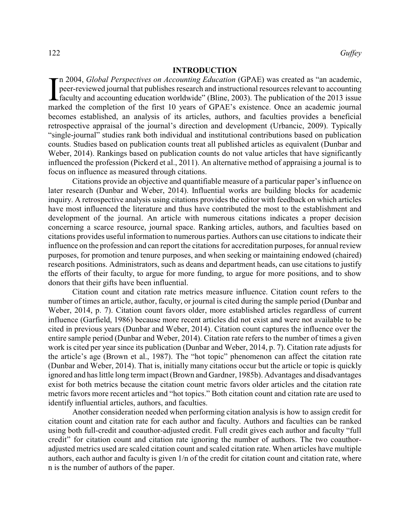#### **INTRODUCTION**

 $\prod_{mn}$ n 2004, *Global Perspectives on Accounting Education* (GPAE) was created as "an academic, peer-reviewed journal that publishes research and instructional resources relevant to accounting faculty and accounting education worldwide" (Bline, 2003). The publication of the 2013 issue marked the completion of the first 10 years of GPAE's existence. Once an academic journal becomes established, an analysis of its articles, authors, and faculties provides a beneficial retrospective appraisal of the journal's direction and development (Urbancic, 2009). Typically "single-journal" studies rank both individual and institutional contributions based on publication counts. Studies based on publication counts treat all published articles as equivalent (Dunbar and Weber, 2014). Rankings based on publication counts do not value articles that have significantly influenced the profession (Pickerd et al., 2011). An alternative method of appraising a journal is to focus on influence as measured through citations.

Citations provide an objective and quantifiable measure of a particular paper's influence on later research (Dunbar and Weber, 2014). Influential works are building blocks for academic inquiry. A retrospective analysis using citations provides the editor with feedback on which articles have most influenced the literature and thus have contributed the most to the establishment and development of the journal. An article with numerous citations indicates a proper decision concerning a scarce resource, journal space. Ranking articles, authors, and faculties based on citations provides useful information to numerous parties. Authors can use citations to indicate their influence on the profession and can report the citations for accreditation purposes, for annual review purposes, for promotion and tenure purposes, and when seeking or maintaining endowed (chaired) research positions. Administrators, such as deans and department heads, can use citations to justify the efforts of their faculty, to argue for more funding, to argue for more positions, and to show donors that their gifts have been influential.

Citation count and citation rate metrics measure influence. Citation count refers to the number of times an article, author, faculty, or journal is cited during the sample period (Dunbar and Weber, 2014, p. 7). Citation count favors older, more established articles regardless of current influence (Garfield, 1986) because more recent articles did not exist and were not available to be cited in previous years (Dunbar and Weber, 2014). Citation count captures the influence over the entire sample period (Dunbar and Weber, 2014). Citation rate refers to the number of times a given work is cited per year since its publication (Dunbar and Weber, 2014, p. 7). Citation rate adjusts for the article's age (Brown et al., 1987). The "hot topic" phenomenon can affect the citation rate (Dunbar and Weber, 2014). That is, initially many citations occur but the article or topic is quickly ignored and has little long term impact (Brown and Gardner, 1985b). Advantages and disadvantages exist for both metrics because the citation count metric favors older articles and the citation rate metric favors more recent articles and "hot topics." Both citation count and citation rate are used to identify influential articles, authors, and faculties.

Another consideration needed when performing citation analysis is how to assign credit for citation count and citation rate for each author and faculty. Authors and faculties can be ranked using both full-credit and coauthor-adjusted credit. Full credit gives each author and faculty "full credit" for citation count and citation rate ignoring the number of authors. The two coauthoradjusted metrics used are scaled citation count and scaled citation rate. When articles have multiple authors, each author and faculty is given 1/n of the credit for citation count and citation rate, where n is the number of authors of the paper.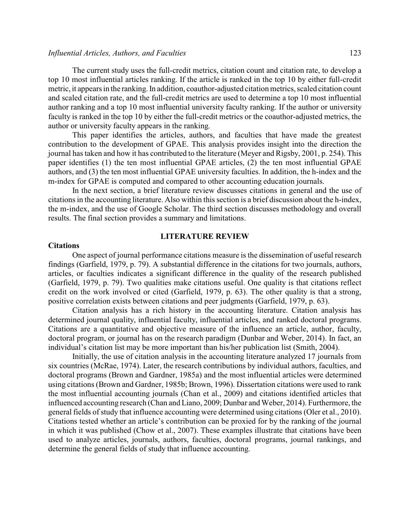#### *Influential Articles, Authors, and Faculties* 123

The current study uses the full-credit metrics, citation count and citation rate, to develop a top 10 most influential articles ranking. If the article is ranked in the top 10 by either full-credit metric, it appears in the ranking. In addition, coauthor-adjusted citation metrics, scaled citation count and scaled citation rate, and the full-credit metrics are used to determine a top 10 most influential author ranking and a top 10 most influential university faculty ranking. If the author or university faculty is ranked in the top 10 by either the full-credit metrics or the coauthor-adjusted metrics, the author or university faculty appears in the ranking.

This paper identifies the articles, authors, and faculties that have made the greatest contribution to the development of GPAE. This analysis provides insight into the direction the journal has taken and how it has contributed to the literature (Meyer and Rigsby, 2001, p. 254). This paper identifies (1) the ten most influential GPAE articles, (2) the ten most influential GPAE authors, and (3) the ten most influential GPAE university faculties. In addition, the h-index and the m-index for GPAE is computed and compared to other accounting education journals.

In the next section, a brief literature review discusses citations in general and the use of citations in the accounting literature. Also within this section is a brief discussion about the h-index, the m-index, and the use of Google Scholar. The third section discusses methodology and overall results. The final section provides a summary and limitations.

#### **LITERATURE REVIEW**

#### **Citations**

One aspect of journal performance citations measure is the dissemination of useful research findings (Garfield, 1979, p. 79). A substantial difference in the citations for two journals, authors, articles, or faculties indicates a significant difference in the quality of the research published (Garfield, 1979, p. 79). Two qualities make citations useful. One quality is that citations reflect credit on the work involved or cited (Garfield, 1979, p. 63). The other quality is that a strong, positive correlation exists between citations and peer judgments (Garfield, 1979, p. 63).

Citation analysis has a rich history in the accounting literature. Citation analysis has determined journal quality, influential faculty, influential articles, and ranked doctoral programs. Citations are a quantitative and objective measure of the influence an article, author, faculty, doctoral program, or journal has on the research paradigm (Dunbar and Weber, 2014). In fact, an individual's citation list may be more important than his/her publication list (Smith, 2004).

Initially, the use of citation analysis in the accounting literature analyzed 17 journals from six countries (McRae, 1974). Later, the research contributions by individual authors, faculties, and doctoral programs (Brown and Gardner, 1985a) and the most influential articles were determined using citations (Brown and Gardner, 1985b; Brown, 1996). Dissertation citations were used to rank the most influential accounting journals (Chan et al., 2009) and citations identified articles that influenced accounting research (Chan and Liano, 2009; Dunbar and Weber, 2014). Furthermore, the general fields of study that influence accounting were determined using citations (Oler et al., 2010). Citations tested whether an article's contribution can be proxied for by the ranking of the journal in which it was published (Chow et al., 2007). These examples illustrate that citations have been used to analyze articles, journals, authors, faculties, doctoral programs, journal rankings, and determine the general fields of study that influence accounting.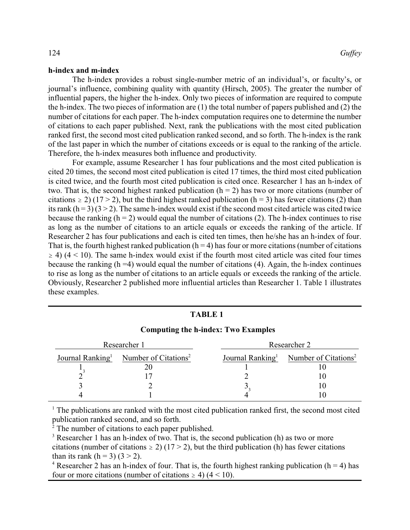#### **h-index and m-index**

The h-index provides a robust single-number metric of an individual's, or faculty's, or journal's influence, combining quality with quantity (Hirsch, 2005). The greater the number of influential papers, the higher the h-index. Only two pieces of information are required to compute the h-index. The two pieces of information are (1) the total number of papers published and (2) the number of citations for each paper. The h-index computation requires one to determine the number of citations to each paper published. Next, rank the publications with the most cited publication ranked first, the second most cited publication ranked second, and so forth. The h-index is the rank of the last paper in which the number of citations exceeds or is equal to the ranking of the article. Therefore, the h-index measures both influence and productivity.

For example, assume Researcher 1 has four publications and the most cited publication is cited 20 times, the second most cited publication is cited 17 times, the third most cited publication is cited twice, and the fourth most cited publication is cited once. Researcher 1 has an h-index of two. That is, the second highest ranked publication  $(h = 2)$  has two or more citations (number of citations  $\ge 2$ ) (17 > 2), but the third highest ranked publication (h = 3) has fewer citations (2) than its rank  $(h = 3)$  (3 > 2). The same h-index would exist if the second most cited article was cited twice because the ranking  $(h = 2)$  would equal the number of citations (2). The h-index continues to rise as long as the number of citations to an article equals or exceeds the ranking of the article. If Researcher 2 has four publications and each is cited ten times, then he/she has an h-index of four. That is, the fourth highest ranked publication  $(h = 4)$  has four or more citations (number of citations  $\geq$  4) (4 < 10). The same h-index would exist if the fourth most cited article was cited four times because the ranking  $(h = 4)$  would equal the number of citations  $(4)$ . Again, the h-index continues to rise as long as the number of citations to an article equals or exceeds the ranking of the article. Obviously, Researcher 2 published more influential articles than Researcher 1. Table 1 illustrates these examples.

| Computing the n-mues. Two Examples |                                  |                              |                                  |  |  |  |
|------------------------------------|----------------------------------|------------------------------|----------------------------------|--|--|--|
| Researcher 1                       |                                  |                              | Researcher 2                     |  |  |  |
| Journal Ranking <sup>1</sup>       | Number of Citations <sup>2</sup> | Journal Ranking <sup>1</sup> | Number of Citations <sup>2</sup> |  |  |  |
|                                    |                                  |                              |                                  |  |  |  |
|                                    |                                  |                              |                                  |  |  |  |
|                                    |                                  |                              |                                  |  |  |  |
|                                    |                                  |                              |                                  |  |  |  |

#### **Computing the h-index: Two Examples**

**TABLE 1**

<sup>1</sup> The publications are ranked with the most cited publication ranked first, the second most cited publication ranked second, and so forth.

<sup>2</sup> The number of citations to each paper published.

<sup>3</sup> Researcher 1 has an h-index of two. That is, the second publication (h) as two or more citations (number of citations  $\ge$  2) (17 > 2), but the third publication (h) has fewer citations than its rank  $(h = 3)$   $(3 > 2)$ .

<sup>4</sup> Researcher 2 has an h-index of four. That is, the fourth highest ranking publication ( $h = 4$ ) has four or more citations (number of citations  $\geq$  4) (4 < 10).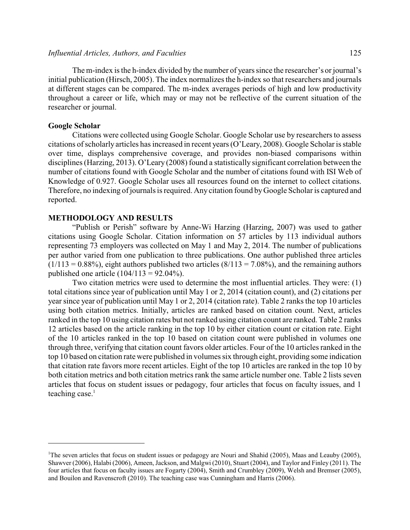The m-index is the h-index divided by the number of years since the researcher's or journal's initial publication (Hirsch, 2005). The index normalizes the h-index so that researchers and journals at different stages can be compared. The m-index averages periods of high and low productivity throughout a career or life, which may or may not be reflective of the current situation of the researcher or journal.

#### **Google Scholar**

Citations were collected using Google Scholar. Google Scholar use by researchers to assess citations of scholarly articles has increased in recent years (O'Leary, 2008). Google Scholar is stable over time, displays comprehensive coverage, and provides non-biased comparisons within disciplines (Harzing, 2013). O'Leary (2008) found a statistically significant correlation between the number of citations found with Google Scholar and the number of citations found with ISI Web of Knowledge of 0.927. Google Scholar uses all resources found on the internet to collect citations. Therefore, no indexing of journals is required. Any citation found byGoogle Scholar is captured and reported.

#### **METHODOLOGY AND RESULTS**

"Publish or Perish" software by Anne-Wi Harzing (Harzing, 2007) was used to gather citations using Google Scholar. Citation information on 57 articles by 113 individual authors representing 73 employers was collected on May 1 and May 2, 2014. The number of publications per author varied from one publication to three publications. One author published three articles  $(1/113 = 0.88\%)$ , eight authors published two articles  $(8/113 = 7.08\%)$ , and the remaining authors published one article  $(104/113 = 92.04\%)$ .

Two citation metrics were used to determine the most influential articles. They were: (1) total citations since year of publication until May 1 or 2, 2014 (citation count), and (2) citations per year since year of publication until May 1 or 2, 2014 (citation rate). Table 2 ranks the top 10 articles using both citation metrics. Initially, articles are ranked based on citation count. Next, articles ranked in the top 10 using citation rates but not ranked using citation count are ranked. Table 2 ranks 12 articles based on the article ranking in the top 10 by either citation count or citation rate. Eight of the 10 articles ranked in the top 10 based on citation count were published in volumes one through three, verifying that citation count favors older articles. Four of the 10 articles ranked in the top 10 based on citation rate were published in volumes six through eight, providing some indication that citation rate favors more recent articles. Eight of the top 10 articles are ranked in the top 10 by both citation metrics and both citation metrics rank the same article number one. Table 2 lists seven articles that focus on student issues or pedagogy, four articles that focus on faculty issues, and 1 teaching case. $1$ 

<sup>&</sup>lt;sup>1</sup>The seven articles that focus on student issues or pedagogy are Nouri and Shahid (2005), Maas and Leauby (2005), Shawver (2006), Halabi (2006), Ameen, Jackson, and Malgwi (2010), Stuart (2004), and Taylor and Finley (2011). The four articles that focus on faculty issues are Fogarty (2004), Smith and Crumbley (2009), Welsh and Bremser (2005), and Bouilon and Ravenscroft (2010). The teaching case was Cunningham and Harris (2006).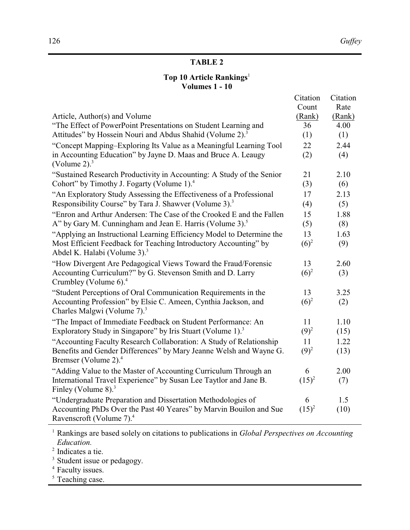## **TABLE 2**

### **Top 10 Article Rankings**<sup>1</sup> **Volumes 1 - 10**

|                                                                                                              | Citation | Citation |
|--------------------------------------------------------------------------------------------------------------|----------|----------|
|                                                                                                              | Count    | Rate     |
| Article, Author(s) and Volume                                                                                | (Rank)   | (Rank)   |
| "The Effect of PowerPoint Presentations on Student Learning and                                              | 36       | 4.00     |
| Attitudes" by Hossein Nouri and Abdus Shahid (Volume 2). <sup>3</sup>                                        | (1)      | (1)      |
| "Concept Mapping-Exploring Its Value as a Meaningful Learning Tool                                           | 22       | 2.44     |
| in Accounting Education" by Jayne D. Maas and Bruce A. Leaugy<br>(Volume 2). $3$                             | (2)      | (4)      |
| "Sustained Research Productivity in Accounting: A Study of the Senior                                        | 21       | 2.10     |
| Cohort" by Timothy J. Fogarty (Volume 1). <sup>4</sup>                                                       | (3)      | (6)      |
| "An Exploratory Study Assessing the Effectiveness of a Professional                                          | 17       | 2.13     |
| Responsibility Course" by Tara J. Shawver (Volume 3). <sup>3</sup>                                           | (4)      | (5)      |
| "Enron and Arthur Andersen: The Case of the Crooked E and the Fallen                                         | 15       | 1.88     |
| A" by Gary M. Cunningham and Jean E. Harris (Volume 3). <sup>5</sup>                                         | (5)      | (8)      |
| "Applying an Instructional Learning Efficiency Model to Determine the                                        | 13       | 1.63     |
| Most Efficient Feedback for Teaching Introductory Accounting" by<br>Abdel K. Halabi (Volume 3). <sup>3</sup> | $(6)^2$  | (9)      |
| "How Divergent Are Pedagogical Views Toward the Fraud/Forensic                                               | 13       | 2.60     |
| Accounting Curriculum?" by G. Stevenson Smith and D. Larry<br>Crumbley (Volume 6). <sup>4</sup>              | $(6)^2$  | (3)      |
| "Student Perceptions of Oral Communication Requirements in the                                               | 13       | 3.25     |
| Accounting Profession" by Elsie C. Ameen, Cynthia Jackson, and<br>Charles Malgwi (Volume 7). <sup>3</sup>    | $(6)^2$  | (2)      |
| "The Impact of Immediate Feedback on Student Performance: An                                                 | 11       | 1.10     |
| Exploratory Study in Singapore" by Iris Stuart (Volume 1). <sup>3</sup>                                      | $(9)^2$  | (15)     |
| "Accounting Faculty Research Collaboration: A Study of Relationship                                          | 11       | 1.22     |
| Benefits and Gender Differences" by Mary Jeanne Welsh and Wayne G.                                           | $(9)^2$  | (13)     |
| Bremser (Volume 2). <sup>4</sup>                                                                             |          |          |
| "Adding Value to the Master of Accounting Curriculum Through an                                              | 6        | 2.00     |
| International Travel Experience" by Susan Lee Taytlor and Jane B.                                            | $(15)^2$ | (7)      |
| Finley (Volume $8$ ). <sup>3</sup>                                                                           |          |          |
| "Undergraduate Preparation and Dissertation Methodologies of                                                 | 6        | 1.5      |
| Accounting PhDs Over the Past 40 Yeares" by Marvin Bouilon and Sue                                           | $(15)^2$ | (10)     |
| Ravenscroft (Volume 7). <sup>4</sup>                                                                         |          |          |

<sup>1</sup> Rankings are based solely on citations to publications in *Global Perspectives on Accounting Education.*

2 Indicates a tie.

<sup>3</sup> Student issue or pedagogy.

<sup>4</sup> Faculty issues.

<sup>5</sup> Teaching case.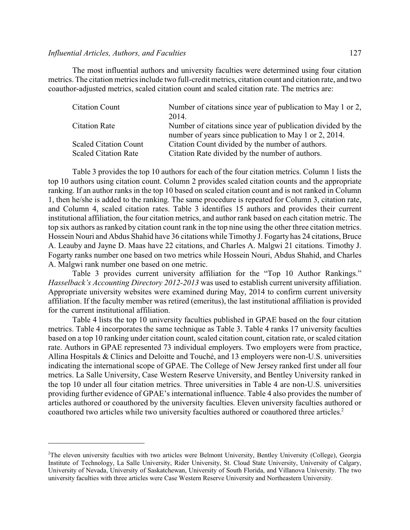#### *Influential Articles, Authors, and Faculties* 127

The most influential authors and university faculties were determined using four citation metrics. The citation metrics include two full-credit metrics, citation count and citation rate, and two coauthor-adjusted metrics, scaled citation count and scaled citation rate. The metrics are:

| <b>Citation Count</b>        | Number of citations since year of publication to May 1 or 2, |  |  |
|------------------------------|--------------------------------------------------------------|--|--|
|                              | 2014.                                                        |  |  |
| <b>Citation Rate</b>         | Number of citations since year of publication divided by the |  |  |
|                              | number of years since publication to May 1 or 2, 2014.       |  |  |
| <b>Scaled Citation Count</b> | Citation Count divided by the number of authors.             |  |  |
| <b>Scaled Citation Rate</b>  | Citation Rate divided by the number of authors.              |  |  |

Table 3 provides the top 10 authors for each of the four citation metrics. Column 1 lists the top 10 authors using citation count. Column 2 provides scaled citation counts and the appropriate ranking. If an author ranks in the top 10 based on scaled citation count and is not ranked in Column 1, then he/she is added to the ranking. The same procedure is repeated for Column 3, citation rate, and Column 4, scaled citation rates. Table 3 identifies 15 authors and provides their current institutional affiliation, the four citation metrics, and author rank based on each citation metric. The top six authors as ranked by citation count rank in the top nine using the other three citation metrics. Hossein Nouri and Abdus Shahid have 36 citations while Timothy J. Fogarty has 24 citations, Bruce A. Leauby and Jayne D. Maas have 22 citations, and Charles A. Malgwi 21 citations. Timothy J. Fogarty ranks number one based on two metrics while Hossein Nouri, Abdus Shahid, and Charles A. Malgwi rank number one based on one metric.

Table 3 provides current university affiliation for the "Top 10 Author Rankings." *Hasselback's Accounting Directory 2012-2013* was used to establish current university affiliation. Appropriate university websites were examined during May, 2014 to confirm current university affiliation. If the faculty member was retired (emeritus), the last institutional affiliation is provided for the current institutional affiliation.

Table 4 lists the top 10 university faculties published in GPAE based on the four citation metrics. Table 4 incorporates the same technique as Table 3. Table 4 ranks 17 university faculties based on a top 10 ranking under citation count, scaled citation count, citation rate, or scaled citation rate. Authors in GPAE represented 73 individual employers. Two employers were from practice, Allina Hospitals & Clinics and Deloitte and Touché, and 13 employers were non-U.S. universities indicating the international scope of GPAE. The College of New Jersey ranked first under all four metrics. La Salle University, Case Western Reserve University, and Bentley University ranked in the top 10 under all four citation metrics. Three universities in Table 4 are non-U.S. universities providing further evidence of GPAE's international influence. Table 4 also provides the number of articles authored or coauthored by the university faculties. Eleven university faculties authored or coauthored two articles while two university faculties authored or coauthored three articles.<sup>2</sup>

<sup>2</sup>The eleven university faculties with two articles were Belmont University, Bentley University (College), Georgia Institute of Technology, La Salle University, Rider University, St. Cloud State University, University of Calgary, University of Nevada, University of Saskatchewan, University of South Florida, and Villanova University. The two university faculties with three articles were Case Western Reserve University and Northeastern University.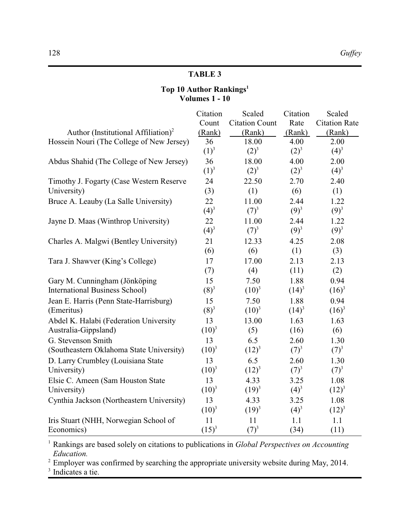### **TABLE 3**

### **Top 10 Author Rankings<sup>1</sup> Volumes 1 - 10**

|                                                 | Citation | Scaled                | Citation | Scaled               |
|-------------------------------------------------|----------|-----------------------|----------|----------------------|
|                                                 | Count    | <b>Citation Count</b> | Rate     | <b>Citation Rate</b> |
| Author (Institutional Affiliation) <sup>2</sup> | (Rank)   | (Rank)                | (Rank)   | (Rank)               |
| Hossein Nouri (The College of New Jersey)       | 36       | 18.00                 | 4.00     | 2.00                 |
|                                                 | $(1)^3$  | $(2)^3$               | $(2)^3$  | $(4)^3$              |
| Abdus Shahid (The College of New Jersey)        | 36       | 18.00                 | 4.00     | 2.00                 |
|                                                 | $(1)^3$  | $(2)^3$               | $(2)^3$  | $(4)^3$              |
| Timothy J. Fogarty (Case Western Reserve        | 24       | 22.50                 | 2.70     | 2.40                 |
| University)                                     | (3)      | (1)                   | (6)      | (1)                  |
| Bruce A. Leauby (La Salle University)           | 22       | 11.00                 | 2.44     | 1.22                 |
|                                                 | $(4)^3$  | $(7)^3$               | $(9)^3$  | $(9)^3$              |
| Jayne D. Maas (Winthrop University)             | 22       | 11.00                 | 2.44     | 1.22                 |
|                                                 | $(4)^3$  | $(7)^3$               | $(9)^3$  | $(9)^3$              |
| Charles A. Malgwi (Bentley University)          | 21       | 12.33                 | 4.25     | 2.08                 |
|                                                 | (6)      | (6)                   | (1)      | (3)                  |
| Tara J. Shawver (King's College)                | 17       | 17.00                 | 2.13     | 2.13                 |
|                                                 | (7)      | (4)                   | (11)     | (2)                  |
| Gary M. Cunningham (Jönköping                   | 15       | 7.50                  | 1.88     | 0.94                 |
| <b>International Business School)</b>           | $(8)^3$  | $(10)^3$              | $(14)^3$ | $(16)^3$             |
| Jean E. Harris (Penn State-Harrisburg)          | 15       | 7.50                  | 1.88     | 0.94                 |
| (Emeritus)                                      | $(8)^3$  | $(10)^3$              | $(14)^3$ | $(16)^3$             |
| Abdel K. Halabi (Federation University          | 13       | 13.00                 | 1.63     | 1.63                 |
| Australia-Gippsland)                            | $(10)^3$ | (5)                   | (16)     | (6)                  |
| G. Stevenson Smith                              | 13       | 6.5                   | 2.60     | 1.30                 |
| (Southeastern Oklahoma State University)        | $(10)^3$ | $(12)^3$              | $(7)^3$  | $(7)^3$              |
| D. Larry Crumbley (Louisiana State              | 13       | 6.5                   | 2.60     | 1.30                 |
| University)                                     | $(10)^3$ | $(12)^3$              | $(7)^3$  | $(7)^3$              |
| Elsie C. Ameen (Sam Houston State               | 13       | 4.33                  | 3.25     | 1.08                 |
| University)                                     | $(10)^3$ | $(19)^3$              | $(4)^3$  | $(12)^3$             |
| Cynthia Jackson (Northeastern University)       | 13       | 4.33                  | 3.25     | 1.08                 |
|                                                 | $(10)^3$ | $(19)^3$              | $(4)^3$  | $(12)^3$             |
| Iris Stuart (NHH, Norwegian School of           | 11       | 11                    | 1.1      | 1.1                  |
| Economics)                                      | $(15)^3$ | $(7)^3$               | (34)     | (11)                 |

<sup>1</sup> Rankings are based solely on citations to publications in *Global Perspectives on Accounting Education.*

<sup>2</sup> Employer was confirmed by searching the appropriate university website during May, 2014.

<sup>3</sup> Indicates a tie.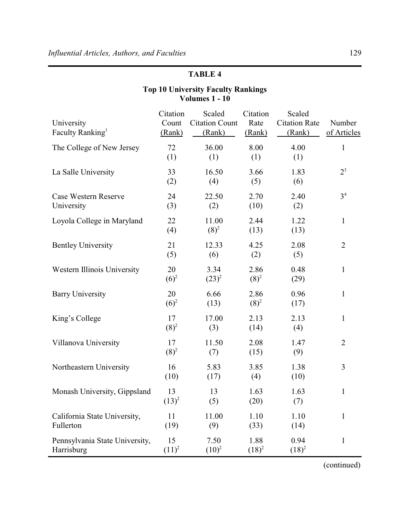### **TABLE 4**

#### University Faculty Ranking<sup>1</sup> Citation Count (Rank) Scaled Citation Count (Rank) Citation Rate (Rank) Scaled Citation Rate (Rank) Number of Articles The College of New Jersey 72 (1) 36.00 (1) 8.00 (1) 4.00 (1) 1 La Salle University 33 (2) 16.50 (4) 3.66 (5) 1.83 (6) 2 3 Case Western Reserve University 24 (3) 22.50 (2) 2.70 (10) 2.40 (2) 3 4 Loyola College in Maryland 22 (4) 11.00  $(8)^2$ 2.44 (13) 1.22 (13) 1 Bentley University 21 (5) 12.33 (6) 4.25 (2) 2.08 (5) 2 Western Illinois University 20  $(6)^2$ 3.34  $(23)^2$ 2.86  $(8)^2$ 0.48 (29) 1 Barry University 20  $(6)^2$ 6.66 (13) 2.86  $(8)^2$ 0.96 (17) 1 King's College 17  $(8)^2$ 17.00 (3) 2.13 (14) 2.13 (4) 1 Villanova University 17  $(8)^2$ 11.50 (7) 2.08 (15) 1.47 (9) 2 Northeastern University 16 (10) 5.83 (17) 3.85 (4) 1.38 (10) 3 Monash University, Gippsland 13  $(13)^2$ 13 (5) 1.63 (20) 1.63 (7) 1 California State University, Fullerton 11 (19) 11.00 (9) 1.10 (33) 1.10 (14) 1 Pennsylvania State University, Harrisburg 15  $(11)^2$ 7.50  $(10)^2$ 1.88  $(18)^2$ 0.94  $(18)^2$ 1

#### **Top 10 University Faculty Rankings Volumes 1 - 10**

(continued)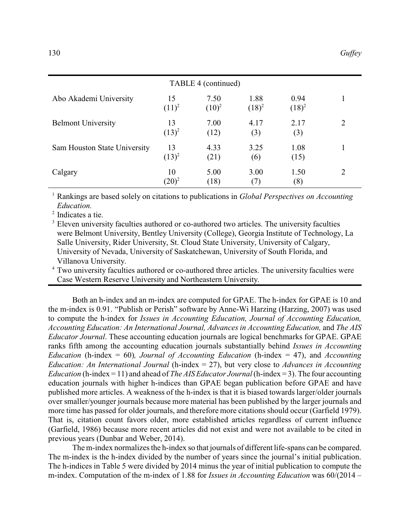| TABLE 4 (continued)          |                |                  |                  |                  |   |
|------------------------------|----------------|------------------|------------------|------------------|---|
| Abo Akademi University       | 15<br>$(11)^2$ | 7.50<br>$(10)^2$ | 1.88<br>$(18)^2$ | 0.94<br>$(18)^2$ | 1 |
| <b>Belmont University</b>    | 13<br>$(13)^2$ | 7.00<br>(12)     | 4.17<br>(3)      | 2.17<br>(3)      | 2 |
| Sam Houston State University | 13<br>$(13)^2$ | 4.33<br>(21)     | 3.25<br>(6)      | 1.08<br>(15)     |   |
| Calgary                      | 10<br>$(20)^2$ | 5.00<br>(18)     | 3.00<br>(7)      | 1.50<br>(8)      | 2 |

<sup>1</sup> Rankings are based solely on citations to publications in *Global Perspectives on Accounting Education.*

2 Indicates a tie.

<sup>3</sup> Eleven university faculties authored or co-authored two articles. The university faculties were Belmont University, Bentley University (College), Georgia Institute of Technology, La Salle University, Rider University, St. Cloud State University, University of Calgary, University of Nevada, University of Saskatchewan, University of South Florida, and Villanova University.

<sup>4</sup> Two university faculties authored or co-authored three articles. The university faculties were Case Western Reserve University and Northeastern University.

Both an h-index and an m-index are computed for GPAE. The h-index for GPAE is 10 and the m-index is 0.91. "Publish or Perish" software by Anne-Wi Harzing (Harzing, 2007) was used to compute the h-index for *Issues in Accounting Education, Journal of Accounting Education, Accounting Education: An International Journal, Advances in Accounting Education,* and *The AIS Educator Journal*. These accounting education journals are logical benchmarks for GPAE. GPAE ranks fifth among the accounting education journals substantially behind *Issues in Accounting Education* (h-index = 60)*, Journal of Accounting Education* (h-index = 47), and *Accounting Education: An International Journal* (h-index = 27), but very close to *Advances in Accounting Education* (h-index = 11) and ahead of *The AIS Educator Journal*(h-index = 3). The four accounting education journals with higher h-indices than GPAE began publication before GPAE and have published more articles. A weakness of the h-index is that it is biased towards larger/older journals over smaller/younger journals because more material has been published by the larger journals and more time has passed for older journals, and therefore more citations should occur (Garfield 1979). That is, citation count favors older, more established articles regardless of current influence (Garfield, 1986) because more recent articles did not exist and were not available to be cited in previous years (Dunbar and Weber, 2014).

The m-index normalizes the h-index so that journals of different life-spans can be compared. The m-index is the h-index divided by the number of years since the journal's initial publication. The h-indices in Table 5 were divided by 2014 minus the year of initial publication to compute the m-index. Computation of the m-index of 1.88 for *Issues in Accounting Education* was 60/(2014 –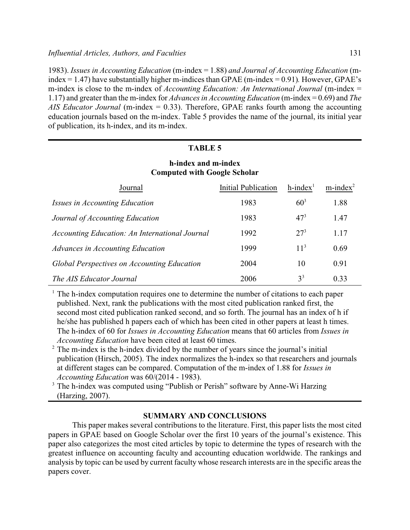1983). *Issues in Accounting Education* (m-index = 1.88) *and Journal of Accounting Education* (mindex = 1.47) have substantially higher m-indices than GPAE (m-index = 0.91)*.* However, GPAE's m-index is close to the m-index of *Accounting Education: An International Journal* (m-index = 1.17) and greater than the m-index for *Advances in Accounting Education* (m-index = 0.69) and *The AIS Educator Journal* (m-index = 0.33). Therefore, GPAE ranks fourth among the accounting education journals based on the m-index. Table 5 provides the name of the journal, its initial year of publication, its h-index, and its m-index.

#### **TABLE 5**

#### **h-index and m-index Computed with Google Scholar**

| Journal                                            | <b>Initial Publication</b> | $h$ -index <sup>1</sup> | $m$ -index $2$ |
|----------------------------------------------------|----------------------------|-------------------------|----------------|
| <i>Issues in Accounting Education</i>              | 1983                       | $60^{3}$                | 1.88           |
| Journal of Accounting Education                    | 1983                       | $47^{3}$                | 1.47           |
| Accounting Education: An International Journal     | 1992                       | $27^{3}$                | 1.17           |
| Advances in Accounting Education                   | 1999                       | 11 <sup>3</sup>         | 0.69           |
| <b>Global Perspectives on Accounting Education</b> | 2004                       | 10                      | 0.91           |
| <i>The AIS Educator Journal</i>                    | 2006                       | $3^3$                   | 0.33           |

 $<sup>1</sup>$  The h-index computation requires one to determine the number of citations to each paper</sup> published. Next, rank the publications with the most cited publication ranked first, the second most cited publication ranked second, and so forth. The journal has an index of h if he/she has published h papers each of which has been cited in other papers at least h times. The h-index of 60 for *Issues in Accounting Education* means that 60 articles from *Issues in Accounting Education* have been cited at least 60 times.

<sup>2</sup> The m-index is the h-index divided by the number of years since the journal's initial publication (Hirsch, 2005). The index normalizes the h-index so that researchers and journals at different stages can be compared. Computation of the m-index of 1.88 for *Issues in Accounting Education* was 60/(2014 - 1983).

<sup>3</sup> The h-index was computed using "Publish or Perish" software by Anne-Wi Harzing (Harzing, 2007).

#### **SUMMARY AND CONCLUSIONS**

This paper makes several contributions to the literature. First, this paper lists the most cited papers in GPAE based on Google Scholar over the first 10 years of the journal's existence. This paper also categorizes the most cited articles by topic to determine the types of research with the greatest influence on accounting faculty and accounting education worldwide. The rankings and analysis by topic can be used by current faculty whose research interests are in the specific areas the papers cover.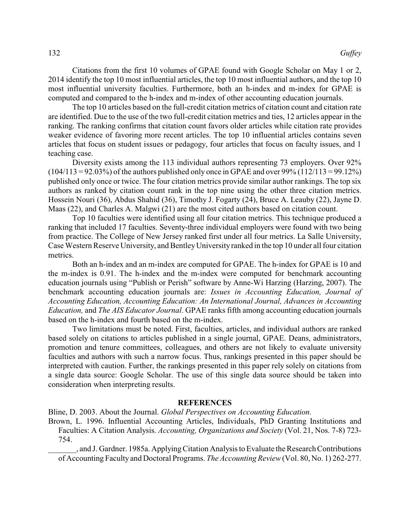Citations from the first 10 volumes of GPAE found with Google Scholar on May 1 or 2, 2014 identify the top 10 most influential articles, the top 10 most influential authors, and the top 10 most influential university faculties. Furthermore, both an h-index and m-index for GPAE is computed and compared to the h-index and m-index of other accounting education journals.

The top 10 articles based on the full-credit citation metrics of citation count and citation rate are identified. Due to the use of the two full-credit citation metrics and ties, 12 articles appear in the ranking. The ranking confirms that citation count favors older articles while citation rate provides weaker evidence of favoring more recent articles. The top 10 influential articles contains seven articles that focus on student issues or pedagogy, four articles that focus on faculty issues, and 1 teaching case.

Diversity exists among the 113 individual authors representing 73 employers. Over 92%  $(104/113 = 92.03\%)$  of the authors published only once in GPAE and over 99% (112/113 = 99.12%) published only once or twice. The four citation metrics provide similar author rankings. The top six authors as ranked by citation count rank in the top nine using the other three citation metrics. Hossein Nouri (36), Abdus Shahid (36), Timothy J. Fogarty (24), Bruce A. Leauby (22), Jayne D. Maas (22), and Charles A. Malgwi (21) are the most cited authors based on citation count.

Top 10 faculties were identified using all four citation metrics. This technique produced a ranking that included 17 faculties. Seventy-three individual employers were found with two being from practice. The College of New Jersey ranked first under all four metrics. La Salle University, Case Western Reserve University, and BentleyUniversity ranked in the top 10 under all four citation metrics.

Both an h-index and an m-index are computed for GPAE. The h-index for GPAE is 10 and the m-index is 0.91. The h-index and the m-index were computed for benchmark accounting education journals using "Publish or Perish" software by Anne-Wi Harzing (Harzing, 2007). The benchmark accounting education journals are: *Issues in Accounting Education, Journal of Accounting Education, Accounting Education: An International Journal, Advances in Accounting Education,* and *The AIS Educator Journal*. GPAE ranks fifth among accounting education journals based on the h-index and fourth based on the m-index.

Two limitations must be noted. First, faculties, articles, and individual authors are ranked based solely on citations to articles published in a single journal, GPAE. Deans, administrators, promotion and tenure committees, colleagues, and others are not likely to evaluate university faculties and authors with such a narrow focus. Thus, rankings presented in this paper should be interpreted with caution. Further, the rankings presented in this paper rely solely on citations from a single data source: Google Scholar. The use of this single data source should be taken into consideration when interpreting results.

#### **REFERENCES**

Bline, D. 2003. About the Journal. *Global Perspectives on Accounting Education*.

Brown, L. 1996. Influential Accounting Articles, Individuals, PhD Granting Institutions and Faculties: A Citation Analysis. *Accounting, Organizations and Society* (Vol. 21, Nos. 7-8) 723- 754.

\_\_\_\_\_\_\_, and J. Gardner. 1985a. ApplyingCitation Analysis to Evaluate the Research Contributions of Accounting Faculty and Doctoral Programs. *The Accounting Review*(Vol. 80, No. 1) 262-277.